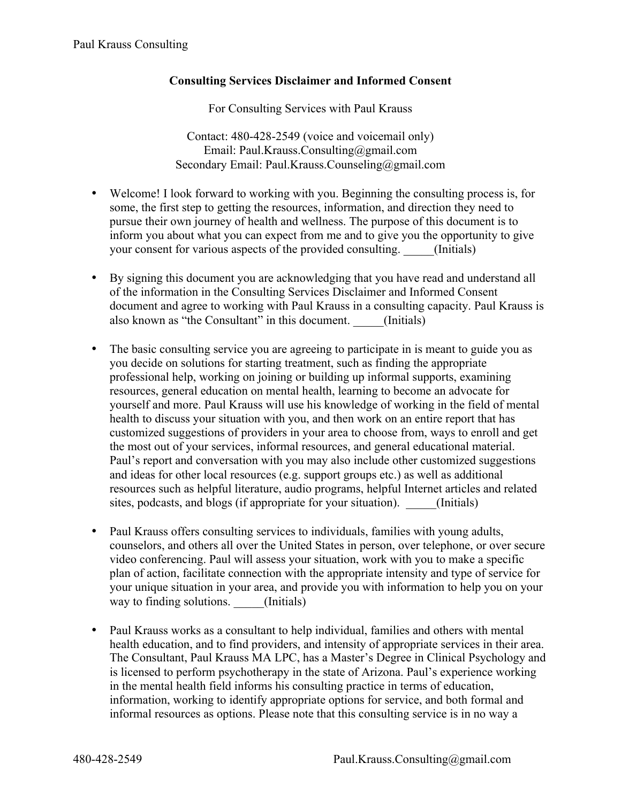## **Consulting Services Disclaimer and Informed Consent**

For Consulting Services with Paul Krauss

Contact: 480-428-2549 (voice and voicemail only) Email: Paul.Krauss.Consulting@gmail.com Secondary Email: Paul.Krauss.Counseling@gmail.com

- Welcome! I look forward to working with you. Beginning the consulting process is, for some, the first step to getting the resources, information, and direction they need to pursue their own journey of health and wellness. The purpose of this document is to inform you about what you can expect from me and to give you the opportunity to give your consent for various aspects of the provided consulting. \_\_\_\_\_(Initials)
- By signing this document you are acknowledging that you have read and understand all of the information in the Consulting Services Disclaimer and Informed Consent document and agree to working with Paul Krauss in a consulting capacity. Paul Krauss is also known as "the Consultant" in this document. (Initials)
- The basic consulting service you are agreeing to participate in is meant to guide you as you decide on solutions for starting treatment, such as finding the appropriate professional help, working on joining or building up informal supports, examining resources, general education on mental health, learning to become an advocate for yourself and more. Paul Krauss will use his knowledge of working in the field of mental health to discuss your situation with you, and then work on an entire report that has customized suggestions of providers in your area to choose from, ways to enroll and get the most out of your services, informal resources, and general educational material. Paul's report and conversation with you may also include other customized suggestions and ideas for other local resources (e.g. support groups etc.) as well as additional resources such as helpful literature, audio programs, helpful Internet articles and related sites, podcasts, and blogs (if appropriate for your situation). (Initials)
- Paul Krauss offers consulting services to individuals, families with young adults, counselors, and others all over the United States in person, over telephone, or over secure video conferencing. Paul will assess your situation, work with you to make a specific plan of action, facilitate connection with the appropriate intensity and type of service for your unique situation in your area, and provide you with information to help you on your way to finding solutions. \_\_\_\_\_(Initials)
- Paul Krauss works as a consultant to help individual, families and others with mental health education, and to find providers, and intensity of appropriate services in their area. The Consultant, Paul Krauss MA LPC, has a Master's Degree in Clinical Psychology and is licensed to perform psychotherapy in the state of Arizona. Paul's experience working in the mental health field informs his consulting practice in terms of education, information, working to identify appropriate options for service, and both formal and informal resources as options. Please note that this consulting service is in no way a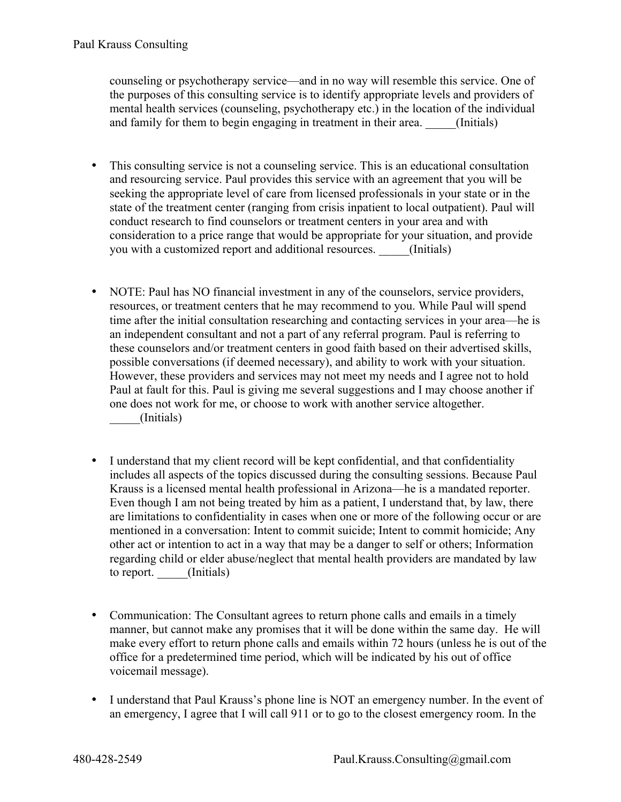counseling or psychotherapy service—and in no way will resemble this service. One of the purposes of this consulting service is to identify appropriate levels and providers of mental health services (counseling, psychotherapy etc.) in the location of the individual and family for them to begin engaging in treatment in their area. (Initials)

- This consulting service is not a counseling service. This is an educational consultation and resourcing service. Paul provides this service with an agreement that you will be seeking the appropriate level of care from licensed professionals in your state or in the state of the treatment center (ranging from crisis inpatient to local outpatient). Paul will conduct research to find counselors or treatment centers in your area and with consideration to a price range that would be appropriate for your situation, and provide you with a customized report and additional resources. (Initials)
- NOTE: Paul has NO financial investment in any of the counselors, service providers, resources, or treatment centers that he may recommend to you. While Paul will spend time after the initial consultation researching and contacting services in your area—he is an independent consultant and not a part of any referral program. Paul is referring to these counselors and/or treatment centers in good faith based on their advertised skills, possible conversations (if deemed necessary), and ability to work with your situation. However, these providers and services may not meet my needs and I agree not to hold Paul at fault for this. Paul is giving me several suggestions and I may choose another if one does not work for me, or choose to work with another service altogether. \_\_\_\_\_(Initials)
- I understand that my client record will be kept confidential, and that confidentiality includes all aspects of the topics discussed during the consulting sessions. Because Paul Krauss is a licensed mental health professional in Arizona—he is a mandated reporter. Even though I am not being treated by him as a patient, I understand that, by law, there are limitations to confidentiality in cases when one or more of the following occur or are mentioned in a conversation: Intent to commit suicide; Intent to commit homicide; Any other act or intention to act in a way that may be a danger to self or others; Information regarding child or elder abuse/neglect that mental health providers are mandated by law to report. \_\_\_\_\_(Initials)
- Communication: The Consultant agrees to return phone calls and emails in a timely manner, but cannot make any promises that it will be done within the same day. He will make every effort to return phone calls and emails within 72 hours (unless he is out of the office for a predetermined time period, which will be indicated by his out of office voicemail message).
- I understand that Paul Krauss's phone line is NOT an emergency number. In the event of an emergency, I agree that I will call 911 or to go to the closest emergency room. In the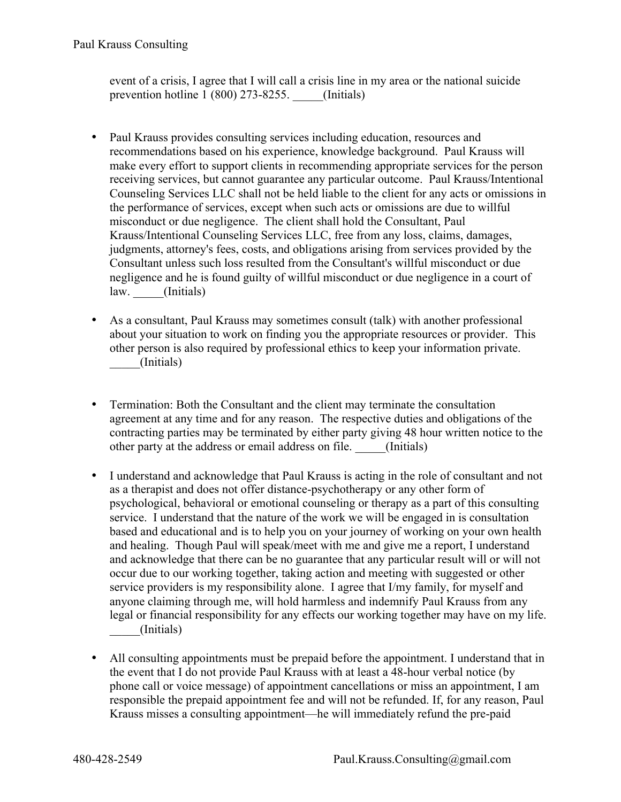event of a crisis, I agree that I will call a crisis line in my area or the national suicide prevention hotline 1 (800) 273-8255. (Initials)

- Paul Krauss provides consulting services including education, resources and recommendations based on his experience, knowledge background. Paul Krauss will make every effort to support clients in recommending appropriate services for the person receiving services, but cannot guarantee any particular outcome. Paul Krauss/Intentional Counseling Services LLC shall not be held liable to the client for any acts or omissions in the performance of services, except when such acts or omissions are due to willful misconduct or due negligence. The client shall hold the Consultant, Paul Krauss/Intentional Counseling Services LLC, free from any loss, claims, damages, judgments, attorney's fees, costs, and obligations arising from services provided by the Consultant unless such loss resulted from the Consultant's willful misconduct or due negligence and he is found guilty of willful misconduct or due negligence in a court of law. (Initials)
- As a consultant, Paul Krauss may sometimes consult (talk) with another professional about your situation to work on finding you the appropriate resources or provider. This other person is also required by professional ethics to keep your information private. \_\_\_\_\_(Initials)
- Termination: Both the Consultant and the client may terminate the consultation agreement at any time and for any reason. The respective duties and obligations of the contracting parties may be terminated by either party giving 48 hour written notice to the other party at the address or email address on file. \_\_\_\_\_(Initials)
- I understand and acknowledge that Paul Krauss is acting in the role of consultant and not as a therapist and does not offer distance-psychotherapy or any other form of psychological, behavioral or emotional counseling or therapy as a part of this consulting service. I understand that the nature of the work we will be engaged in is consultation based and educational and is to help you on your journey of working on your own health and healing. Though Paul will speak/meet with me and give me a report, I understand and acknowledge that there can be no guarantee that any particular result will or will not occur due to our working together, taking action and meeting with suggested or other service providers is my responsibility alone. I agree that I/my family, for myself and anyone claiming through me, will hold harmless and indemnify Paul Krauss from any legal or financial responsibility for any effects our working together may have on my life. \_\_\_\_\_(Initials)
- All consulting appointments must be prepaid before the appointment. I understand that in the event that I do not provide Paul Krauss with at least a 48-hour verbal notice (by phone call or voice message) of appointment cancellations or miss an appointment, I am responsible the prepaid appointment fee and will not be refunded. If, for any reason, Paul Krauss misses a consulting appointment—he will immediately refund the pre-paid